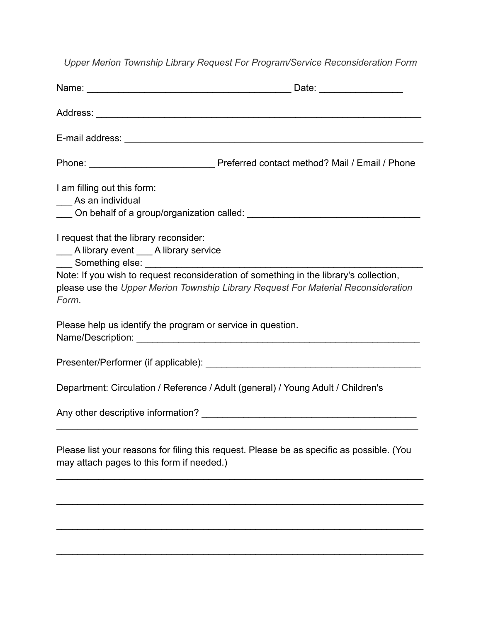*Upper Merion Township Library Request For Program/Service Reconsideration Form*

| Address: <u>Address:</u> Address: Address: Address: Address: Address: Address: Address: Address: Address: Address: Address: Address: Address: Address: Address: Address: Address: Address: Address: Address: Address: Address: Addr |                                                                                                                                                                                                                               |
|-------------------------------------------------------------------------------------------------------------------------------------------------------------------------------------------------------------------------------------|-------------------------------------------------------------------------------------------------------------------------------------------------------------------------------------------------------------------------------|
|                                                                                                                                                                                                                                     |                                                                                                                                                                                                                               |
|                                                                                                                                                                                                                                     |                                                                                                                                                                                                                               |
| I am filling out this form:<br>__ As an individual                                                                                                                                                                                  | On behalf of a group/organization called: Department of the state of the state of the state of the state of the state of the state of the state of the state of the state of the state of the state of the state of the state |
| I request that the library reconsider:<br>___ A library event ___ A library service                                                                                                                                                 |                                                                                                                                                                                                                               |
| Form.                                                                                                                                                                                                                               | Note: If you wish to request reconsideration of something in the library's collection,<br>please use the Upper Merion Township Library Request For Material Reconsideration                                                   |
| Please help us identify the program or service in question.                                                                                                                                                                         |                                                                                                                                                                                                                               |
|                                                                                                                                                                                                                                     |                                                                                                                                                                                                                               |
| Department: Circulation / Reference / Adult (general) / Young Adult / Children's                                                                                                                                                    |                                                                                                                                                                                                                               |
|                                                                                                                                                                                                                                     |                                                                                                                                                                                                                               |
| may attach pages to this form if needed.)                                                                                                                                                                                           | Please list your reasons for filing this request. Please be as specific as possible. (You                                                                                                                                     |
|                                                                                                                                                                                                                                     |                                                                                                                                                                                                                               |

 $\mathcal{L}_\text{max} = \mathcal{L}_\text{max} = \mathcal{L}_\text{max} = \mathcal{L}_\text{max} = \mathcal{L}_\text{max} = \mathcal{L}_\text{max} = \mathcal{L}_\text{max} = \mathcal{L}_\text{max} = \mathcal{L}_\text{max} = \mathcal{L}_\text{max} = \mathcal{L}_\text{max} = \mathcal{L}_\text{max} = \mathcal{L}_\text{max} = \mathcal{L}_\text{max} = \mathcal{L}_\text{max} = \mathcal{L}_\text{max} = \mathcal{L}_\text{max} = \mathcal{L}_\text{max} = \mathcal{$ 

 $\mathcal{L}_\text{max}$  , and the contract of the contract of the contract of the contract of the contract of the contract of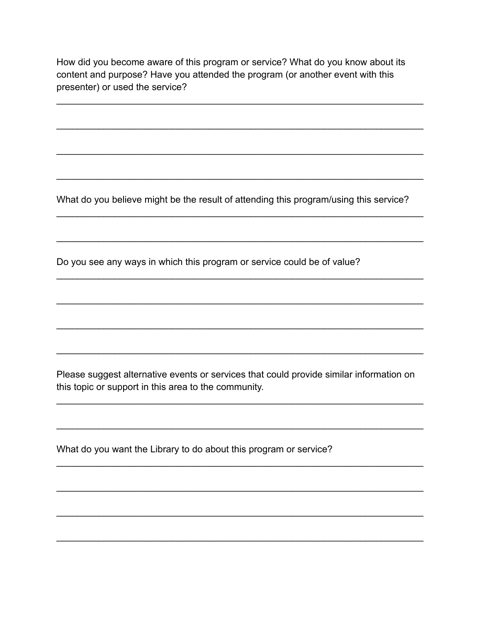How did you become aware of this program or service? What do you know about its content and purpose? Have you attended the program (or another event with this presenter) or used the service?

What do you believe might be the result of attending this program/using this service?

Do you see any ways in which this program or service could be of value?

Please suggest alternative events or services that could provide similar information on this topic or support in this area to the community.

What do you want the Library to do about this program or service?